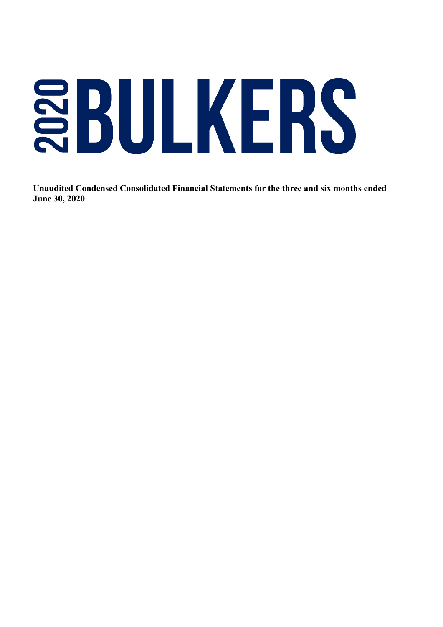# SBULKERS

 **Unaudited Condensed Consolidated Financial Statements for the three and six months ended June 30, 2020**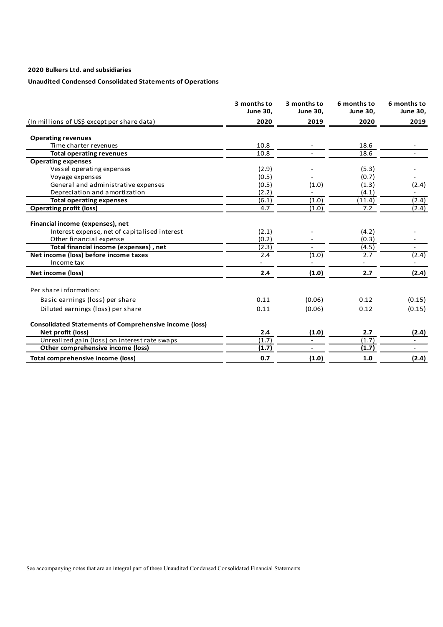# **Unaudited Condensed Consolidated Statements of Operations**

|                                                               | 3 months to<br><b>June 30,</b> | 3 months to<br><b>June 30,</b> | 6 months to<br><b>June 30,</b> | 6 months to<br><b>June 30,</b> |
|---------------------------------------------------------------|--------------------------------|--------------------------------|--------------------------------|--------------------------------|
| (In millions of US\$ except per share data)                   | 2020                           | 2019                           | 2020                           | 2019                           |
| <b>Operating revenues</b>                                     |                                |                                |                                |                                |
| Time charter revenues                                         | 10.8                           |                                | 18.6                           |                                |
| <b>Total operating revenues</b>                               | 10.8                           |                                | 18.6                           |                                |
| <b>Operating expenses</b>                                     |                                |                                |                                |                                |
| Vessel operating expenses                                     | (2.9)                          |                                | (5.3)                          |                                |
| Voyage expenses                                               | (0.5)                          |                                | (0.7)                          |                                |
| General and administrative expenses                           | (0.5)                          | (1.0)                          | (1.3)                          | (2.4)                          |
| Depreciation and amortization                                 | (2.2)                          |                                | (4.1)                          | $\overline{\phantom{a}}$       |
| <b>Total operating expenses</b>                               | (6.1)                          | (1.0)                          | (11.4)                         | (2.4)                          |
| <b>Operating profit (loss)</b>                                | 4.7                            | (1.0)                          | 7.2                            | (2.4)                          |
| Financial income (expenses), net                              |                                |                                |                                |                                |
| Interest expense, net of capitalised interest                 | (2.1)                          |                                | (4.2)                          |                                |
| Other financial expense                                       | (0.2)                          |                                | (0.3)                          |                                |
| Total financial income (expenses), net                        | (2.3)                          |                                | (4.5)                          |                                |
| Net income (loss) before income taxes                         | 2.4                            | (1.0)                          | 2.7                            | (2.4)                          |
| Income tax                                                    |                                |                                |                                |                                |
| Net income (loss)                                             | 2.4                            | (1.0)                          | 2.7                            | (2.4)                          |
| Per share information:                                        |                                |                                |                                |                                |
| Basic earnings (loss) per share                               | 0.11                           | (0.06)                         | 0.12                           | (0.15)                         |
| Diluted earnings (loss) per share                             | 0.11                           | (0.06)                         | 0.12                           | (0.15)                         |
| <b>Consolidated Statements of Comprehensive income (loss)</b> |                                |                                |                                |                                |
| Net profit (loss)                                             | 2.4                            | (1.0)                          | 2.7                            | (2.4)                          |
| Unrealized gain (loss) on interest rate swaps                 | (1.7)                          | $\overline{\phantom{a}}$       | (1.7)                          | $\blacksquare$                 |
| Other comprehensive income (loss)                             | (1.7)                          |                                | (1.7)                          | $\overline{\phantom{a}}$       |
| Total comprehensive income (loss)                             | 0.7                            | (1.0)                          | 1.0                            | (2.4)                          |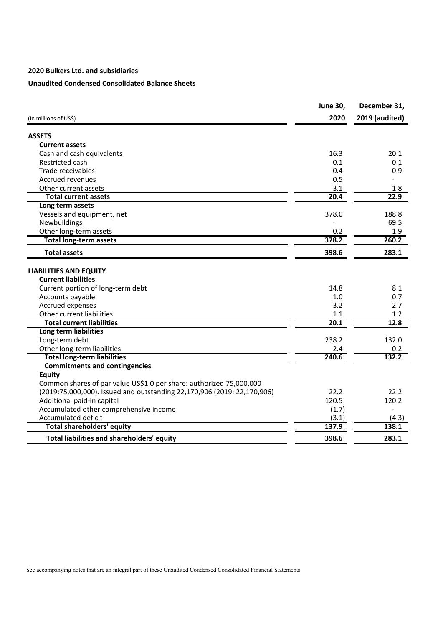# **Unaudited Condensed Consolidated Balance Sheets**

|                                                                         | <b>June 30,</b> | December 31,          |
|-------------------------------------------------------------------------|-----------------|-----------------------|
| (In millions of US\$)                                                   | 2020            | <b>2019 (audited)</b> |
| <b>ASSETS</b>                                                           |                 |                       |
| <b>Current assets</b>                                                   |                 |                       |
| Cash and cash equivalents                                               | 16.3            | 20.1                  |
| Restricted cash                                                         | 0.1             | 0.1                   |
| Trade receivables                                                       | 0.4             | 0.9                   |
| Accrued revenues                                                        | 0.5             |                       |
| Other current assets                                                    | 3.1             | 1.8                   |
| <b>Total current assets</b>                                             | 20.4            | 22.9                  |
| Long term assets                                                        |                 |                       |
| Vessels and equipment, net                                              | 378.0           | 188.8                 |
| Newbuildings                                                            |                 | 69.5                  |
| Other long-term assets                                                  | 0.2             | 1.9                   |
| <b>Total long-term assets</b>                                           | 378.2           | 260.2                 |
| <b>Total assets</b>                                                     | 398.6           | 283.1                 |
| <b>LIABILITIES AND EQUITY</b>                                           |                 |                       |
| <b>Current liabilities</b>                                              |                 |                       |
| Current portion of long-term debt                                       | 14.8            | 8.1                   |
| Accounts payable                                                        | 1.0             | 0.7                   |
| Accrued expenses                                                        | 3.2             | 2.7                   |
| Other current liabilities                                               | 1.1             | 1.2                   |
| <b>Total current liabilities</b>                                        | 20.1            | 12.8                  |
| Long term liabilities                                                   |                 |                       |
| Long-term debt                                                          | 238.2           | 132.0                 |
| Other long-term liabilities                                             | 2.4             | 0.2                   |
| <b>Total long-term liabilities</b>                                      | 240.6           | 132.2                 |
| <b>Commitments and contingencies</b>                                    |                 |                       |
| <b>Equity</b>                                                           |                 |                       |
| Common shares of par value US\$1.0 per share: authorized 75,000,000     |                 |                       |
| (2019:75,000,000). Issued and outstanding 22,170,906 (2019: 22,170,906) | 22.2            | 22.2                  |
| Additional paid-in capital                                              | 120.5           | 120.2                 |
| Accumulated other comprehensive income                                  | (1.7)           |                       |
| Accumulated deficit                                                     | (3.1)           | (4.3)                 |
| <b>Total shareholders' equity</b>                                       | 137.9           | 138.1                 |
| Total liabilities and shareholders' equity                              | 398.6           | 283.1                 |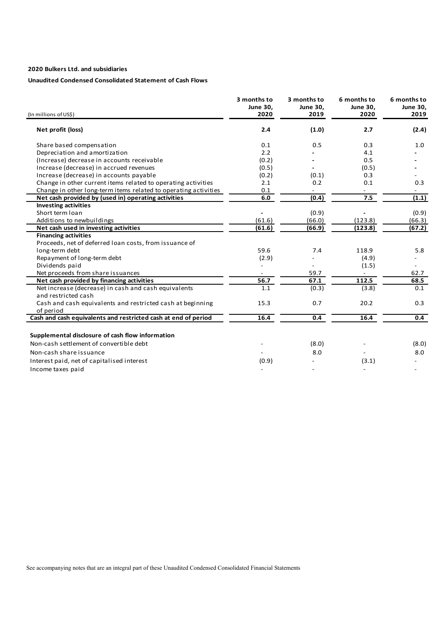# **Unaudited Condensed Consolidated Statement of Cash Flows**

|                                                                             | 3 months to<br>June 30, | 3 months to<br>June 30, | 6 months to<br><b>June 30,</b> | 6 months to<br>June 30, |
|-----------------------------------------------------------------------------|-------------------------|-------------------------|--------------------------------|-------------------------|
| (In millions of US\$)                                                       | 2020                    | 2019                    | 2020                           | 2019                    |
| Net profit (loss)                                                           | 2.4                     | (1.0)                   | 2.7                            | (2.4)                   |
| Share based compensation                                                    | 0.1                     | 0.5                     | 0.3                            | 1.0                     |
| Depreciation and amortization                                               | 2.2                     |                         | 4.1                            |                         |
| (Increase) decrease in accounts receivable                                  | (0.2)                   |                         | 0.5                            |                         |
| Increase (decrease) in accrued revenues                                     | (0.5)                   |                         | (0.5)                          |                         |
| Increase (decrease) in accounts payable                                     | (0.2)                   | (0.1)                   | 0.3                            |                         |
| Change in other current items related to operating activities               | 2.1                     | 0.2                     | 0.1                            | 0.3                     |
| Change in other long-term items related to operating activities             | 0.1                     |                         |                                |                         |
| Net cash provided by (used in) operating activities                         | 6.0                     | (0.4)                   | 7.5                            | (1.1)                   |
| <b>Investing activities</b>                                                 |                         |                         |                                |                         |
| Short term loan                                                             |                         | (0.9)                   |                                | (0.9)                   |
| Additions to newbuildings                                                   | (61.6)                  | (66.0)                  | (123.8)                        | (66.3)                  |
| Net cash used in investing activities                                       | (61.6)                  | (66.9)                  | (123.8)                        | (67.2)                  |
| <b>Financing activities</b>                                                 |                         |                         |                                |                         |
| Proceeds, net of deferred loan costs, from issuance of                      |                         |                         |                                |                         |
| long-term debt                                                              | 59.6                    | 7.4                     | 118.9                          | 5.8                     |
| Repayment of long-term debt                                                 | (2.9)                   |                         | (4.9)                          |                         |
| Dividends paid                                                              |                         |                         | (1.5)                          |                         |
| Net proceeds from share issuances                                           |                         | 59.7                    |                                | 62.7                    |
| Net cash provided by financing activities                                   | 56.7                    | 67.1                    | 112.5                          | 68.5                    |
| Net increase (decrease) in cash and cash equivalents<br>and restricted cash | 1.1                     | (0.3)                   | (3.8)                          | 0.1                     |
| Cash and cash equivalents and restricted cash at beginning                  | 15.3                    | 0.7                     | 20.2                           | 0.3                     |
| of period                                                                   |                         |                         |                                |                         |
| Cash and cash equivalents and restricted cash at end of period              | 16.4                    | 0.4                     | 16.4                           | 0.4                     |
| Supplemental disclosure of cash flow information                            |                         |                         |                                |                         |
| Non-cash settlement of convertible debt                                     |                         | (8.0)                   |                                | (8.0)                   |
| Non-cash share issuance                                                     |                         | 8.0                     |                                | 8.0                     |
| Interest paid, net of capitalised interest                                  | (0.9)                   |                         | (3.1)                          |                         |
| Income taxes paid                                                           |                         |                         |                                |                         |
|                                                                             |                         |                         |                                |                         |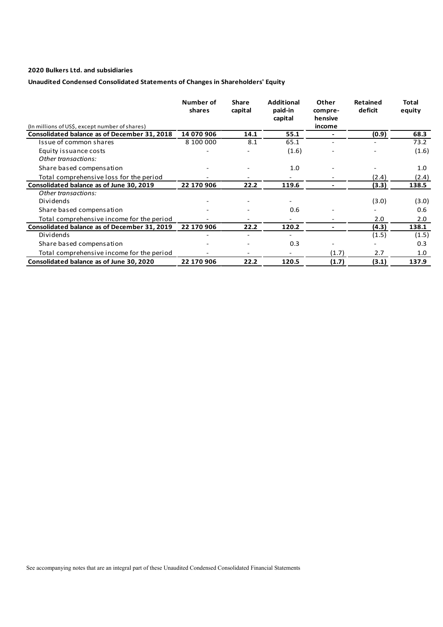# **Unaudited Condensed Consolidated Statements of Changes in Shareholders' Equity**

|                                                | Number of<br>shares | <b>Share</b><br>capital | <b>Additional</b><br>paid-in<br>capital | Other<br>compre-<br>hensive | <b>Retained</b><br>deficit | Total<br>equity |
|------------------------------------------------|---------------------|-------------------------|-----------------------------------------|-----------------------------|----------------------------|-----------------|
| (In millions of US\$, except number of shares) |                     |                         |                                         | income                      |                            |                 |
| Consolidated balance as of December 31, 2018   | 14 070 906          | 14.1                    | 55.1                                    |                             | (0.9)                      | 68.3            |
| Issue of common shares                         | 8 100 000           | 8.1                     | 65.1                                    |                             |                            | 73.2            |
| Equity issuance costs                          |                     |                         | (1.6)                                   |                             |                            | (1.6)           |
| Other transactions:                            |                     |                         |                                         |                             |                            |                 |
| Share based compensation                       |                     |                         | 1.0                                     |                             |                            | 1.0             |
| Total comprehensive loss for the period        |                     |                         |                                         |                             | (2.4)                      | (2.4)           |
| Consolidated balance as of June 30, 2019       | 22 170 906          | 22.2                    | 119.6                                   |                             | (3.3)                      | 138.5           |
| Other transactions:                            |                     |                         |                                         |                             |                            |                 |
| Dividends                                      |                     |                         |                                         |                             | (3.0)                      | (3.0)           |
| Share based compensation                       |                     |                         | 0.6                                     |                             |                            | 0.6             |
| Total comprehensive income for the period      |                     |                         |                                         |                             | 2.0                        | 2.0             |
| Consolidated balance as of December 31, 2019   | 22 170 906          | 22.2                    | 120.2                                   |                             | (4.3)                      | 138.1           |
| Dividends                                      |                     |                         |                                         |                             | (1.5)                      | (1.5)           |
| Share based compensation                       |                     |                         | 0.3                                     |                             |                            | 0.3             |
| Total comprehensive income for the period      |                     |                         |                                         | (1.7)                       | 2.7                        | 1.0             |
| Consolidated balance as of June 30, 2020       | 22 170 906          | 22.2                    | 120.5                                   | (1.7)                       | (3.1)                      | 137.9           |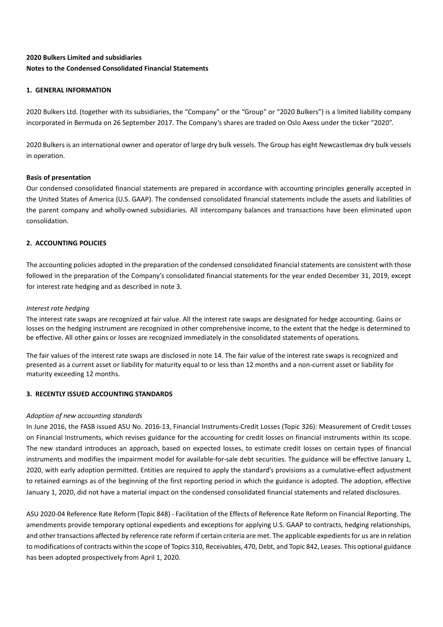# **2020 Bulkers Limited and subsidiaries Notes to the Condensed Consolidated Financial Statements**

# **1. GENERAL INFORMATION**

2020 Bulkers Ltd. (together with its subsidiaries, the "Company" or the "Group" or "2020 Bulkers") is a limited liability company incorporated in Bermuda on 26 September 2017. The Company's shares are traded on Oslo Axess under the ticker "2020".

2020 Bulkers is an international owner and operator of large dry bulk vessels. The Group has eight Newcastlemax dry bulk vessels in operation.

# **Basis of presentation**

Our condensed consolidated financial statements are prepared in accordance with accounting principles generally accepted in the United States of America (U.S. GAAP). The condensed consolidated financial statements include the assets and liabilities of the parent company and wholly-owned subsidiaries. All intercompany balances and transactions have been eliminated upon consolidation.

# **2. ACCOUNTING POLICIES**

The accounting policies adopted in the preparation of the condensed consolidated financial statements are consistent with those followed in the preparation of the Company's consolidated financial statements for the year ended December 31, 2019, except for interest rate hedging and as described in note 3.

# *Interest rate hedging*

The interest rate swaps are recognized at fair value. All the interest rate swaps are designated for hedge accounting. Gains or losses on the hedging instrument are recognized in other comprehensive income, to the extent that the hedge is determined to be effective. All other gains or losses are recognized immediately in the consolidated statements of operations.

The fair values of the interest rate swaps are disclosed in note 14. The fair value of the interest rate swaps is recognized and presented as a current asset or liability for maturity equal to or less than 12 months and a non-current asset or liability for maturity exceeding 12 months.

# **3. RECENTLY ISSUED ACCOUNTING STANDARDS**

# *Adoption of new accounting standards*

In June 2016, the FASB issued ASU No. 2016-13, Financial Instruments-Credit Losses (Topic 326): Measurement of Credit Losses on Financial Instruments, which revises guidance for the accounting for credit losses on financial instruments within its scope. The new standard introduces an approach, based on expected losses, to estimate credit losses on certain types of financial instruments and modifies the impairment model for available-for-sale debt securities. The guidance will be effective January 1, 2020, with early adoption permitted. Entities are required to apply the standard's provisions as a cumulative-effect adjustment to retained earnings as of the beginning of the first reporting period in which the guidance is adopted. The adoption, effective January 1, 2020, did not have a material impact on the condensed consolidated financial statements and related disclosures.

ASU 2020-04 Reference Rate Reform (Topic 848) - Facilitation of the Effects of Reference Rate Reform on Financial Reporting. The amendments provide temporary optional expedients and exceptions for applying U.S. GAAP to contracts, hedging relationships, and other transactions affected by reference rate reform if certain criteria are met. The applicable expedients for us are in relation to modifications of contracts within the scope of Topics 310, Receivables, 470, Debt, and Topic 842, Leases. This optional guidance has been adopted prospectively from April 1, 2020.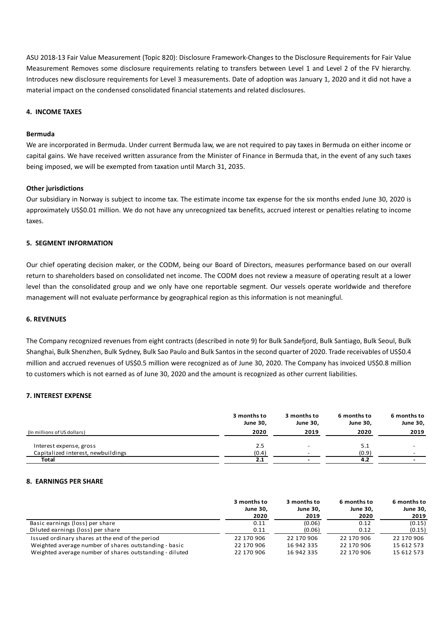ASU 2018-13 Fair Value Measurement (Topic 820): Disclosure Framework-Changes to the Disclosure Requirements for Fair Value Measurement Removes some disclosure requirements relating to transfers between Level 1 and Level 2 of the FV hierarchy. Introduces new disclosure requirements for Level 3 measurements. Date of adoption was January 1, 2020 and it did not have a material impact on the condensed consolidated financial statements and related disclosures.

#### **4. INCOME TAXES**

#### **Bermuda**

We are incorporated in Bermuda. Under current Bermuda law, we are not required to pay taxes in Bermuda on either income or capital gains. We have received written assurance from the Minister of Finance in Bermuda that, in the event of any such taxes being imposed, we will be exempted from taxation until March 31, 2035.

#### **Other jurisdictions**

Our subsidiary in Norway is subject to income tax. The estimate income tax expense for the six months ended June 30, 2020 is approximately US\$0.01 million. We do not have any unrecognized tax benefits, accrued interest or penalties relating to income taxes.

# **5. SEGMENT INFORMATION**

Our chief operating decision maker, or the CODM, being our Board of Directors, measures performance based on our overall return to shareholders based on consolidated net income. The CODM does not review a measure of operating result at a lower level than the consolidated group and we only have one reportable segment. Our vessels operate worldwide and therefore management will not evaluate performance by geographical region as this information is not meaningful.

#### **6. REVENUES**

The Company recognized revenues from eight contracts (described in note 9) for Bulk Sandefjord, Bulk Santiago, Bulk Seoul, Bulk Shanghai, Bulk Shenzhen, Bulk Sydney, Bulk Sao Paulo and Bulk Santosin the second quarter of 2020. Trade receivables of US\$0.4 million and accrued revenues of US\$0.5 million were recognized as of June 30, 2020. The Company has invoiced US\$0.8 million to customers which is not earned as of June 30, 2020 and the amount is recognized as other current liabilities.

#### **7. INTEREST EXPENSE**

|                                    | 3 months to<br>June 30, | 3 months to<br>June 30, | 6 months to<br><b>June 30,</b> | 6 months to<br>June 30, |
|------------------------------------|-------------------------|-------------------------|--------------------------------|-------------------------|
| (In millions of US dollars)        | 2020                    | 2019                    | 2020                           | 2019                    |
| Interest expense, gross            | 2.5                     |                         | 5.1                            |                         |
| Capitalized interest, newbuildings | (0.4)                   |                         | (0.9)                          |                         |
| Total                              | 2.1                     |                         | 4.2                            |                         |

#### **8. EARNINGS PER SHARE**

|                                                         | 3 months to | 3 months to | 6 months to | 6 months to     |
|---------------------------------------------------------|-------------|-------------|-------------|-----------------|
|                                                         | June 30,    | June 30,    | June 30,    | <b>June 30,</b> |
|                                                         | 2020        | 2019        | 2020        | 2019            |
| Basic earnings (loss) per share                         | 0.11        | (0.06)      | 0.12        | (0.15)          |
| Diluted earnings (loss) per share                       | 0.11        | (0.06)      | 0.12        | (0.15)          |
| Issued ordinary shares at the end of the period         | 22 170 906  | 22 170 906  | 22 170 906  | 22 170 906      |
| Weighted average number of shares outstanding - basic   | 22 170 906  | 16 942 335  | 22 170 906  | 15 612 573      |
| Weighted average number of shares outstanding - diluted | 22 170 906  | 16 942 335  | 22 170 906  | 15 612 573      |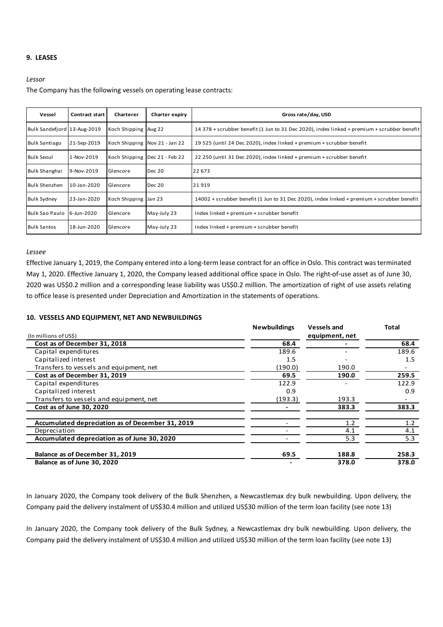# **9. LEASES**

#### *Lessor*

The Company has the following vessels on operating lease contracts:

| Vessel                      | Contract start I | Charterer            | Charter expiry                  | Gross rate/day, USD                                                                         |
|-----------------------------|------------------|----------------------|---------------------------------|---------------------------------------------------------------------------------------------|
| Bulk Sandefjord 13-Aug-2019 |                  | Koch Shipping Aug 22 |                                 | 14 378 + scrubber benefit (1 Jun to 31 Dec 2020), index linked + premium + scrubber benefit |
| <b>Bulk Santiago</b>        | 21-Sep-2019      |                      | Koch Shipping Nov 21 - Jan 22   | 19 525 (until 24 Dec 2020), index linked + premium + scrubber benefit                       |
| <b>Bulk Seoul</b>           | 1-Nov-2019       |                      | Koch Shipping   Dec 21 - Feb 22 | 22 250 (until 31 Dec 2020), index linked + premium + scrubber benefit                       |
| <b>Bulk Shanghai</b>        | 9-Nov-2019       | Glencore             | Dec 20                          | 22 673                                                                                      |
| <b>Bulk Shenzhen</b>        | 10-Jan-2020      | Glencore             | Dec 20                          | 21919                                                                                       |
| <b>Bulk Sydney</b>          | 23-Jan-2020      | Koch Shipping Jan 23 |                                 | 14002 + scrubber benefit (1 Jun to 31 Dec 2020), index linked + premium + scrubber benefit  |
| Bulk Sao Paulo              | 6-Jun-2020       | Glencore             | May-July 23                     | Index linked + premium + scrubber benefit                                                   |
| <b>Bulk Santos</b>          | 18-Jun-2020      | Glencore             | May-July 23                     | Index linked + premium + scrubber benefit                                                   |

#### *Lessee*

Effective January 1, 2019, the Company entered into a long-term lease contract for an office in Oslo. This contract was terminated May 1, 2020. Effective January 1, 2020, the Company leased additional office space in Oslo. The right-of-use asset as of June 30, 2020 was US\$0.2 million and a corresponding lease liability was US\$0.2 million. The amortization of right of use assets relating to office lease is presented under Depreciation and Amortization in the statements of operations.

#### **10. VESSELS AND EQUIPMENT, NET AND NEWBUILDINGS**

|                                                  | <b>Newbuildings</b> | <b>Vessels and</b> | Total |
|--------------------------------------------------|---------------------|--------------------|-------|
| (In millions of US\$)                            |                     | equipment, net     |       |
| Cost as of December 31, 2018                     | 68.4                |                    | 68.4  |
| Capital expenditures                             | 189.6               |                    | 189.6 |
| Capitalized interest                             | 1.5                 |                    | 1.5   |
| Transfers to vessels and equipment, net          | (190.0)             | 190.0              |       |
| Cost as of December 31, 2019                     | 69.5                | 190.0              | 259.5 |
| Capital expenditures                             | 122.9               |                    | 122.9 |
| Capitalized interest                             | 0.9                 |                    | 0.9   |
| Transfers to vessels and equipment, net          | (193.3)             | 193.3              |       |
| Cost as of June 30, 2020                         |                     | 383.3              | 383.3 |
| Accumulated depreciation as of December 31, 2019 |                     | 1.2                | 1.2   |
| Depreciation                                     |                     | 4.1                | 4.1   |
| Accumulated depreciation as of June 30, 2020     |                     | 5.3                | 5.3   |
| Balance as of December 31, 2019                  | 69.5                | 188.8              | 258.3 |
| Balance as of June 30, 2020                      |                     | 378.0              | 378.0 |

In January 2020, the Company took delivery of the Bulk Shenzhen, a Newcastlemax dry bulk newbuilding. Upon delivery, the Company paid the delivery instalment of US\$30.4 million and utilized US\$30 million of the term loan facility (see note 13)

In January 2020, the Company took delivery of the Bulk Sydney, a Newcastlemax dry bulk newbuilding. Upon delivery, the Company paid the delivery instalment of US\$30.4 million and utilized US\$30 million of the term loan facility (see note 13)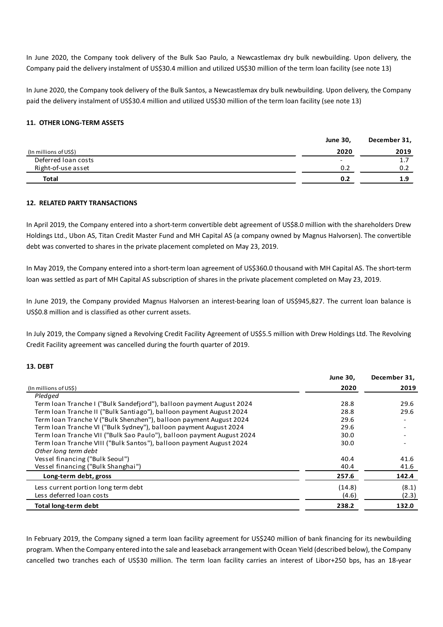In June 2020, the Company took delivery of the Bulk Sao Paulo, a Newcastlemax dry bulk newbuilding. Upon delivery, the Company paid the delivery instalment of US\$30.4 million and utilized US\$30 million of the term loan facility (see note 13)

In June 2020, the Company took delivery of the Bulk Santos, a Newcastlemax dry bulk newbuilding. Upon delivery, the Company paid the delivery instalment of US\$30.4 million and utilized US\$30 million of the term loan facility (see note 13)

# **11. OTHER LONG-TERM ASSETS**

|                       | <b>June 30,</b>          | December 31, |
|-----------------------|--------------------------|--------------|
| (In millions of US\$) | 2020                     | 2019         |
| Deferred Ioan costs   | $\overline{\phantom{0}}$ | 1.7          |
| Right-of-use asset    | 0.2                      | 0.2          |
| <b>Total</b>          | 0.2                      | 1.9          |

# **12. RELATED PARTY TRANSACTIONS**

In April 2019, the Company entered into a short-term convertible debt agreement of US\$8.0 million with the shareholders Drew Holdings Ltd., Ubon AS, Titan Credit Master Fund and MH Capital AS (a company owned by Magnus Halvorsen). The convertible debt was converted to shares in the private placement completed on May 23, 2019.

In May 2019, the Company entered into a short-term loan agreement of US\$360.0 thousand with MH Capital AS. The short-term loan was settled as part of MH Capital AS subscription of shares in the private placement completed on May 23, 2019.

In June 2019, the Company provided Magnus Halvorsen an interest-bearing loan of US\$945,827. The current loan balance is US\$0.8 million and is classified as other current assets.

In July 2019, the Company signed a Revolving Credit Facility Agreement of US\$5.5 million with Drew Holdings Ltd. The Revolving Credit Facility agreement was cancelled during the fourth quarter of 2019.

# **13. DEBT**

|                                                                       | <b>June 30,</b> | December 31, |
|-----------------------------------------------------------------------|-----------------|--------------|
| (In millions of US\$)                                                 | 2020            | 2019         |
| Pledged                                                               |                 |              |
| Term Ioan Tranche I ("Bulk Sandefjord"), balloon payment August 2024  | 28.8            | 29.6         |
| Term Ioan Tranche II ("Bulk Santiago"), balloon payment August 2024   | 28.8            | 29.6         |
| Term Ioan Tranche V ("Bulk Shenzhen"), balloon payment August 2024    | 29.6            |              |
| Term Ioan Tranche VI ("Bulk Sydney"), balloon payment August 2024     | 29.6            |              |
| Term Ioan Tranche VII ("Bulk Sao Paulo"), balloon payment August 2024 | 30.0            |              |
| Term Ioan Tranche VIII ("Bulk Santos"), balloon payment August 2024   | 30.0            |              |
| Other long term debt                                                  |                 |              |
| Vessel financing ("Bulk Seoul")                                       | 40.4            | 41.6         |
| Vessel financing ("Bulk Shanghai")                                    | 40.4            | 41.6         |
| Long-term debt, gross                                                 | 257.6           | 142.4        |
| Less current portion long term debt                                   | (14.8)          | (8.1)        |
| Less deferred loan costs                                              | (4.6)           | (2.3)        |
| <b>Total long-term debt</b>                                           | 238.2           | 132.0        |

In February 2019, the Company signed a term loan facility agreement for US\$240 million of bank financing for its newbuilding program. When the Company entered into the sale and leaseback arrangement with Ocean Yield (described below), the Company cancelled two tranches each of US\$30 million. The term loan facility carries an interest of Libor+250 bps, has an 18-year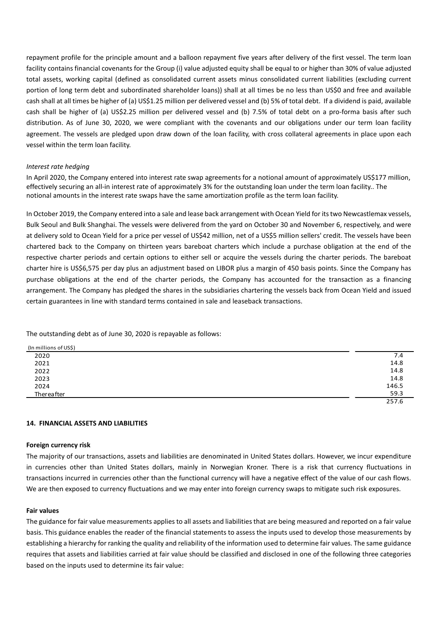repayment profile for the principle amount and a balloon repayment five years after delivery of the first vessel. The term loan facility contains financial covenants for the Group (i) value adjusted equity shall be equal to or higher than 30% of value adjusted total assets, working capital (defined as consolidated current assets minus consolidated current liabilities (excluding current portion of long term debt and subordinated shareholder loans)) shall at all times be no less than US\$0 and free and available cash shall at all times be higher of (a) US\$1.25 million per delivered vessel and (b) 5% of total debt. If a dividend is paid, available cash shall be higher of (a) US\$2.25 million per delivered vessel and (b) 7.5% of total debt on a pro-forma basis after such distribution. As of June 30, 2020, we were compliant with the covenants and our obligations under our term loan facility agreement. The vessels are pledged upon draw down of the loan facility, with cross collateral agreements in place upon each vessel within the term loan facility.

#### *Interest rate hedging*

In April 2020, the Company entered into interest rate swap agreements for a notional amount of approximately US\$177 million, effectively securing an all-in interest rate of approximately 3% for the outstanding loan under the term loan facility.. The notional amounts in the interest rate swaps have the same amortization profile as the term loan facility.

In October 2019, the Company entered into a sale and lease back arrangement with Ocean Yield for its two Newcastlemax vessels, Bulk Seoul and Bulk Shanghai. The vessels were delivered from the yard on October 30 and November 6, respectively, and were at delivery sold to Ocean Yield for a price per vessel of US\$42 million, net of a US\$5 million sellers' credit. The vessels have been chartered back to the Company on thirteen years bareboat charters which include a purchase obligation at the end of the respective charter periods and certain options to either sell or acquire the vessels during the charter periods. The bareboat charter hire is US\$6,575 per day plus an adjustment based on LIBOR plus a margin of 450 basis points. Since the Company has purchase obligations at the end of the charter periods, the Company has accounted for the transaction as a financing arrangement. The Company has pledged the shares in the subsidiaries chartering the vessels back from Ocean Yield and issued certain guarantees in line with standard terms contained in sale and leaseback transactions.

The outstanding debt as of June 30, 2020 is repayable as follows:

| (In millions of US\$) |       |
|-----------------------|-------|
| 2020                  | 7.4   |
| 2021                  | 14.8  |
| 2022                  | 14.8  |
| 2023                  | 14.8  |
| 2024                  | 146.5 |
| Thereafter            | 59.3  |
|                       | 257.6 |

#### **14. FINANCIAL ASSETS AND LIABILITIES**

#### **Foreign currency risk**

The majority of our transactions, assets and liabilities are denominated in United States dollars. However, we incur expenditure in currencies other than United States dollars, mainly in Norwegian Kroner. There is a risk that currency fluctuations in transactions incurred in currencies other than the functional currency will have a negative effect of the value of our cash flows. We are then exposed to currency fluctuations and we may enter into foreign currency swaps to mitigate such risk exposures.

#### **Fair values**

The guidance for fair value measurements applies to all assets and liabilities that are being measured and reported on a fair value basis. This guidance enables the reader of the financial statements to assess the inputs used to develop those measurements by establishing a hierarchy for ranking the quality and reliability of the information used to determine fair values. The same guidance requires that assets and liabilities carried at fair value should be classified and disclosed in one of the following three categories based on the inputs used to determine its fair value: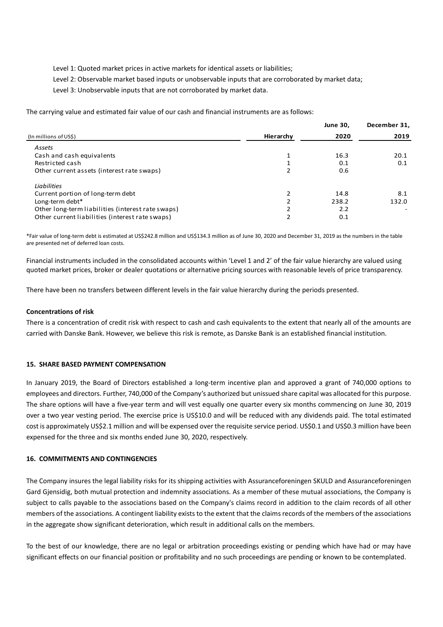Level 1: Quoted market prices in active markets for identical assets or liabilities;

Level 2: Observable market based inputs or unobservable inputs that are corroborated by market data;

Level 3: Unobservable inputs that are not corroborated by market data.

The carrying value and estimated fair value of our cash and financial instruments are as follows:

|                                                   |           | <b>June 30,</b> | December 31, |
|---------------------------------------------------|-----------|-----------------|--------------|
| (In millions of US\$)                             | Hierarchy | 2020            | 2019         |
| Assets                                            |           |                 |              |
| Cash and cash equivalents                         |           | 16.3            | 20.1         |
| Restricted cash                                   |           | 0.1             | 0.1          |
| Other current assets (interest rate swaps)        |           | 0.6             |              |
| <b>Liabilities</b>                                |           |                 |              |
| Current portion of long-term debt                 |           | 14.8            | 8.1          |
| Long-term debt*                                   |           | 238.2           | 132.0        |
| Other long-term liabilities (interest rate swaps) |           | 2.2             |              |
| Other current liabilities (interest rate swaps)   |           | 0.1             |              |

\*Fair value of long-term debt is estimated at US\$242.8 million and US\$134.3 million as of June 30, 2020 and December 31, 2019 as the numbers in the table are presented net of deferred loan costs.

Financial instruments included in the consolidated accounts within 'Level 1 and 2' of the fair value hierarchy are valued using quoted market prices, broker or dealer quotations or alternative pricing sources with reasonable levels of price transparency.

There have been no transfers between different levels in the fair value hierarchy during the periods presented.

#### **Concentrations of risk**

There is a concentration of credit risk with respect to cash and cash equivalents to the extent that nearly all of the amounts are carried with Danske Bank. However, we believe this risk is remote, as Danske Bank is an established financial institution.

#### **15. SHARE BASED PAYMENT COMPENSATION**

In January 2019, the Board of Directors established a long-term incentive plan and approved a grant of 740,000 options to employees and directors. Further, 740,000 of the Company's authorized but unissued share capital was allocated for this purpose. The share options will have a five-year term and will vest equally one quarter every six months commencing on June 30, 2019 over a two year vesting period. The exercise price is US\$10.0 and will be reduced with any dividends paid. The total estimated cost is approximately US\$2.1 million and will be expensed over the requisite service period. US\$0.1 and US\$0.3 million have been expensed for the three and six months ended June 30, 2020, respectively.

# **16. COMMITMENTS AND CONTINGENCIES**

The Company insures the legal liability risks for its shipping activities with Assuranceforeningen SKULD and Assuranceforeningen Gard Gjensidig, both mutual protection and indemnity associations. As a member of these mutual associations, the Company is subject to calls payable to the associations based on the Company's claims record in addition to the claim records of all other members of the associations. A contingent liability exists to the extent that the claims records of the members of the associations in the aggregate show significant deterioration, which result in additional calls on the members.

To the best of our knowledge, there are no legal or arbitration proceedings existing or pending which have had or may have significant effects on our financial position or profitability and no such proceedings are pending or known to be contemplated.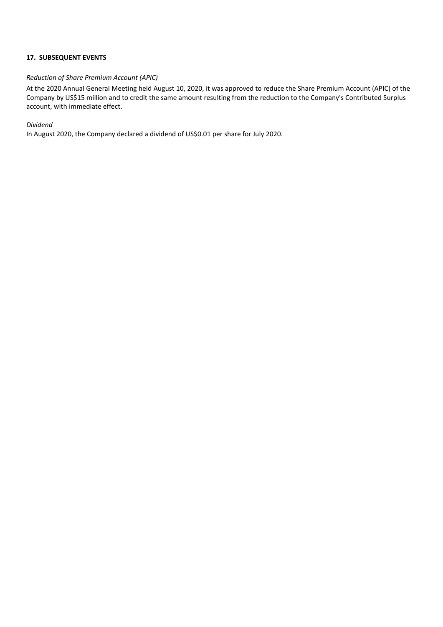# **17. SUBSEQUENT EVENTS**

# *Reduction of Share Premium Account (APIC)*

At the 2020 Annual General Meeting held August 10, 2020, it was approved to reduce the Share Premium Account (APIC) of the Company by US\$15 million and to credit the same amount resulting from the reduction to the Company's Contributed Surplus account, with immediate effect.

# *Dividend*

In August 2020, the Company declared a dividend of US\$0.01 per share for July 2020.